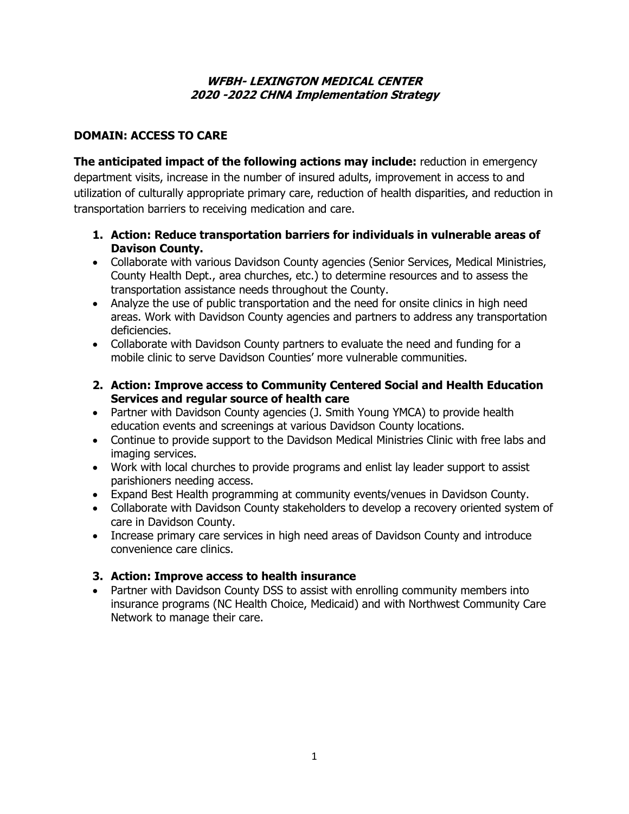#### **WFBH- LEXINGTON MEDICAL CENTER 2020 -2022 CHNA Implementation Strategy**

## **DOMAIN: ACCESS TO CARE**

**The anticipated impact of the following actions may include:** reduction in emergency department visits, increase in the number of insured adults, improvement in access to and utilization of culturally appropriate primary care, reduction of health disparities, and reduction in transportation barriers to receiving medication and care.

- **1. Action: Reduce transportation barriers for individuals in vulnerable areas of Davison County.**
- Collaborate with various Davidson County agencies (Senior Services, Medical Ministries, County Health Dept., area churches, etc.) to determine resources and to assess the transportation assistance needs throughout the County.
- Analyze the use of public transportation and the need for onsite clinics in high need areas. Work with Davidson County agencies and partners to address any transportation deficiencies.
- Collaborate with Davidson County partners to evaluate the need and funding for a mobile clinic to serve Davidson Counties' more vulnerable communities.
- **2. Action: Improve access to Community Centered Social and Health Education Services and regular source of health care**
- Partner with Davidson County agencies (J. Smith Young YMCA) to provide health education events and screenings at various Davidson County locations.
- Continue to provide support to the Davidson Medical Ministries Clinic with free labs and imaging services.
- Work with local churches to provide programs and enlist lay leader support to assist parishioners needing access.
- Expand Best Health programming at community events/venues in Davidson County.
- Collaborate with Davidson County stakeholders to develop a recovery oriented system of care in Davidson County.
- Increase primary care services in high need areas of Davidson County and introduce convenience care clinics.

# **3. Action: Improve access to health insurance**

• Partner with Davidson County DSS to assist with enrolling community members into insurance programs (NC Health Choice, Medicaid) and with Northwest Community Care Network to manage their care.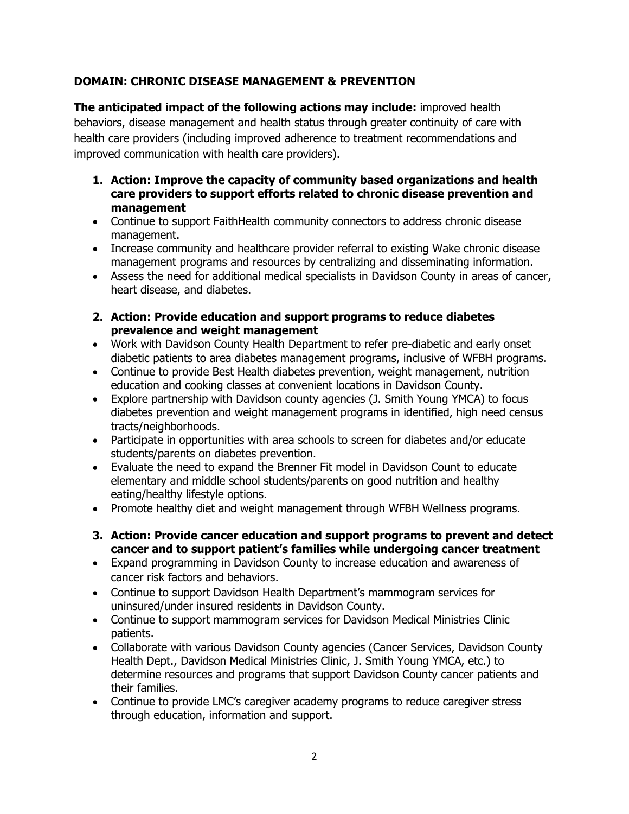# **DOMAIN: CHRONIC DISEASE MANAGEMENT & PREVENTION**

**The anticipated impact of the following actions may include:** improved health behaviors, disease management and health status through greater continuity of care with health care providers (including improved adherence to treatment recommendations and improved communication with health care providers).

- **1. Action: Improve the capacity of community based organizations and health care providers to support efforts related to chronic disease prevention and management**
- Continue to support FaithHealth community connectors to address chronic disease management.
- Increase community and healthcare provider referral to existing Wake chronic disease management programs and resources by centralizing and disseminating information.
- Assess the need for additional medical specialists in Davidson County in areas of cancer, heart disease, and diabetes.
- **2. Action: Provide education and support programs to reduce diabetes prevalence and weight management**
- Work with Davidson County Health Department to refer pre-diabetic and early onset diabetic patients to area diabetes management programs, inclusive of WFBH programs.
- Continue to provide Best Health diabetes prevention, weight management, nutrition education and cooking classes at convenient locations in Davidson County.
- Explore partnership with Davidson county agencies (J. Smith Young YMCA) to focus diabetes prevention and weight management programs in identified, high need census tracts/neighborhoods.
- Participate in opportunities with area schools to screen for diabetes and/or educate students/parents on diabetes prevention.
- Evaluate the need to expand the Brenner Fit model in Davidson Count to educate elementary and middle school students/parents on good nutrition and healthy eating/healthy lifestyle options.
- Promote healthy diet and weight management through WFBH Wellness programs.
- **3. Action: Provide cancer education and support programs to prevent and detect cancer and to support patient's families while undergoing cancer treatment**
- Expand programming in Davidson County to increase education and awareness of cancer risk factors and behaviors.
- Continue to support Davidson Health Department's mammogram services for uninsured/under insured residents in Davidson County.
- Continue to support mammogram services for Davidson Medical Ministries Clinic patients.
- Collaborate with various Davidson County agencies (Cancer Services, Davidson County Health Dept., Davidson Medical Ministries Clinic, J. Smith Young YMCA, etc.) to determine resources and programs that support Davidson County cancer patients and their families.
- Continue to provide LMC's caregiver academy programs to reduce caregiver stress through education, information and support.